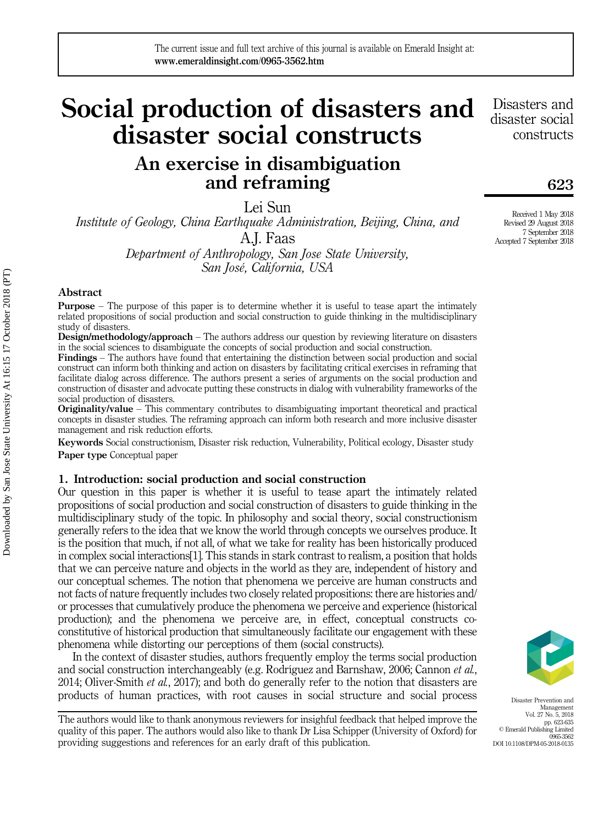# Social production of disasters and disaster social constructs An exercise in disambiguation and reframing

Lei Sun

Institute of Geology, China Earthquake Administration, Beijing, China, and A.J. Faas Department of Anthropology, San Jose State University,

San José, California, USA

# Abstract

Purpose – The purpose of this paper is to determine whether it is useful to tease apart the intimately related propositions of social production and social construction to guide thinking in the multidisciplinary study of disasters.

Design/methodology/approach – The authors address our question by reviewing literature on disasters in the social sciences to disambiguate the concepts of social production and social construction.

Findings – The authors have found that entertaining the distinction between social production and social construct can inform both thinking and action on disasters by facilitating critical exercises in reframing that facilitate dialog across difference. The authors present a series of arguments on the social production and construction of disaster and advocate putting these constructs in dialog with vulnerability frameworks of the social production of disasters.

**Originality/value** – This commentary contributes to disambiguating important theoretical and practical concepts in disaster studies. The reframing approach can inform both research and more inclusive disaster management and risk reduction efforts.

Keywords Social constructionism, Disaster risk reduction, Vulnerability, Political ecology, Disaster study Paper type Conceptual paper

## 1. Introduction: social production and social construction

Our question in this paper is whether it is useful to tease apart the intimately related propositions of social production and social construction of disasters to guide thinking in the multidisciplinary study of the topic. In philosophy and social theory, social constructionism generally refers to the idea that we know the world through concepts we ourselves produce. It is the position that much, if not all, of what we take for reality has been historically produced in complex social interactions[1]. This stands in stark contrast to realism, a position that holds that we can perceive nature and objects in the world as they are, independent of history and our conceptual schemes. The notion that phenomena we perceive are human constructs and not facts of nature frequently includes two closely related propositions: there are histories and/ or processes that cumulatively produce the phenomena we perceive and experience (historical production); and the phenomena we perceive are, in effect, conceptual constructs coconstitutive of historical production that simultaneously facilitate our engagement with these phenomena while distorting our perceptions of them (social constructs).

In the context of disaster studies, authors frequently employ the terms social production and social construction interchangeably (e.g. Rodríguez and Barnshaw, 2006; Cannon et al., 2014; Oliver-Smith et al., 2017); and both do generally refer to the notion that disasters are products of human practices, with root causes in social structure and social process Disaster Prevention and



Management Vol. 27 No. 5, 2018 pp. 623-635 © Emerald Publishing Limited 0965-3562 DOI 10.1108/DPM-05-2018-0135

Disasters and disaster social constructs

623

Received 1 May 2018 Revised 29 August 2018 7 September 2018 Accepted 7 September 2018

The authors would like to thank anonymous reviewers for insighful feedback that helped improve the quality of this paper. The authors would also like to thank Dr Lisa Schipper (University of Oxford) for providing suggestions and references for an early draft of this publication.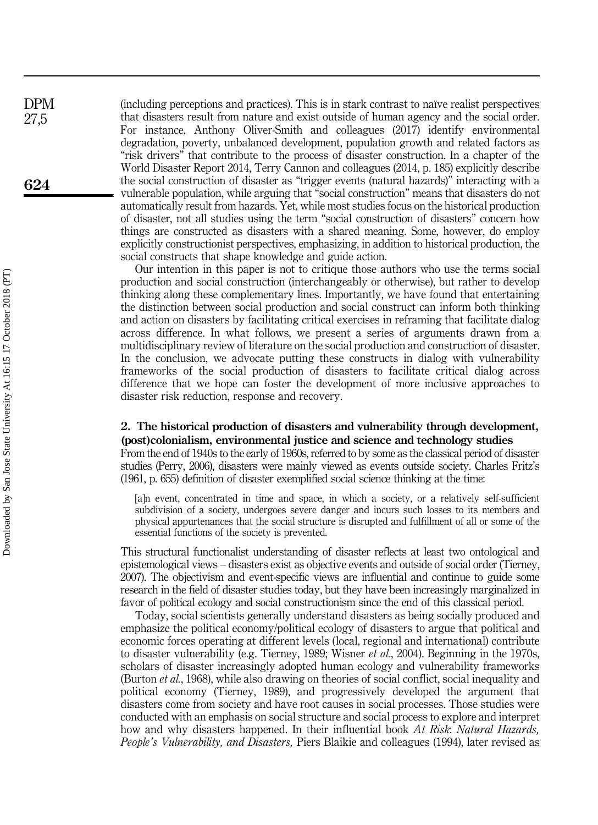(including perceptions and practices). This is in stark contrast to naïve realist perspectives that disasters result from nature and exist outside of human agency and the social order. For instance, Anthony Oliver-Smith and colleagues (2017) identify environmental degradation, poverty, unbalanced development, population growth and related factors as "risk drivers" that contribute to the process of disaster construction. In a chapter of the World Disaster Report 2014, Terry Cannon and colleagues (2014, p. 185) explicitly describe the social construction of disaster as "trigger events (natural hazards)" interacting with a vulnerable population, while arguing that "social construction" means that disasters do not automatically result from hazards. Yet, while most studies focus on the historical production of disaster, not all studies using the term "social construction of disasters" concern how things are constructed as disasters with a shared meaning. Some, however, do employ explicitly constructionist perspectives, emphasizing, in addition to historical production, the social constructs that shape knowledge and guide action.

Our intention in this paper is not to critique those authors who use the terms social production and social construction (interchangeably or otherwise), but rather to develop thinking along these complementary lines. Importantly, we have found that entertaining the distinction between social production and social construct can inform both thinking and action on disasters by facilitating critical exercises in reframing that facilitate dialog across difference. In what follows, we present a series of arguments drawn from a multidisciplinary review of literature on the social production and construction of disaster. In the conclusion, we advocate putting these constructs in dialog with vulnerability frameworks of the social production of disasters to facilitate critical dialog across difference that we hope can foster the development of more inclusive approaches to disaster risk reduction, response and recovery.

### 2. The historical production of disasters and vulnerability through development, (post)colonialism, environmental justice and science and technology studies

From the end of 1940s to the early of 1960s, referred to by some as the classical period of disaster studies (Perry, 2006), disasters were mainly viewed as events outside society. Charles Fritz's (1961, p. 655) definition of disaster exemplified social science thinking at the time:

[a]n event, concentrated in time and space, in which a society, or a relatively self-sufficient subdivision of a society, undergoes severe danger and incurs such losses to its members and physical appurtenances that the social structure is disrupted and fulfillment of all or some of the essential functions of the society is prevented.

This structural functionalist understanding of disaster reflects at least two ontological and epistemological views – disasters exist as objective events and outside of social order (Tierney, 2007). The objectivism and event-specific views are influential and continue to guide some research in the field of disaster studies today, but they have been increasingly marginalized in favor of political ecology and social constructionism since the end of this classical period.

Today, social scientists generally understand disasters as being socially produced and emphasize the political economy/political ecology of disasters to argue that political and economic forces operating at different levels (local, regional and international) contribute to disaster vulnerability (e.g. Tierney, 1989; Wisner *et al.*, 2004). Beginning in the 1970s, scholars of disaster increasingly adopted human ecology and vulnerability frameworks (Burton *et al.*, 1968), while also drawing on theories of social conflict, social inequality and political economy (Tierney, 1989), and progressively developed the argument that disasters come from society and have root causes in social processes. Those studies were conducted with an emphasis on social structure and social process to explore and interpret how and why disasters happened. In their influential book At Risk: Natural Hazards, People's Vulnerability, and Disasters, Piers Blaikie and colleagues (1994), later revised as

624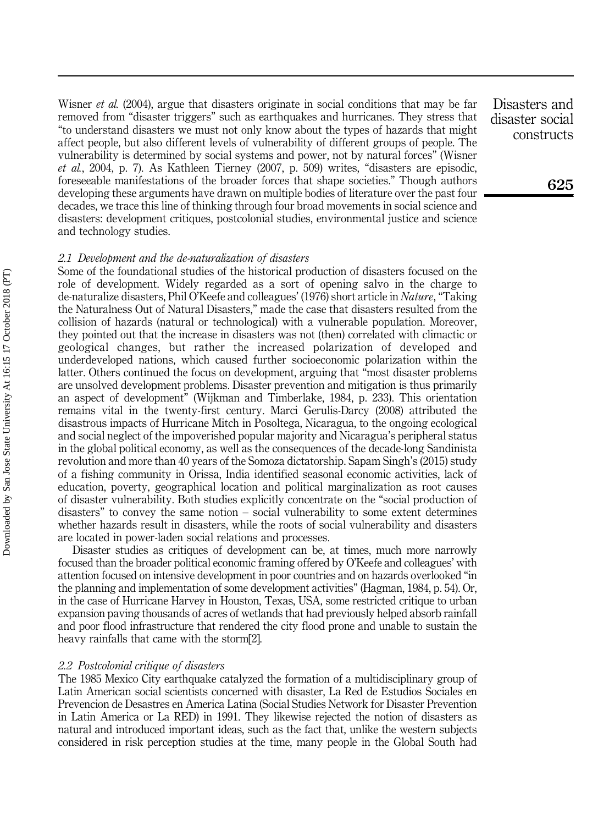Wisner *et al.* (2004), argue that disasters originate in social conditions that may be far removed from "disaster triggers" such as earthquakes and hurricanes. They stress that "to understand disasters we must not only know about the types of hazards that might affect people, but also different levels of vulnerability of different groups of people. The vulnerability is determined by social systems and power, not by natural forces" (Wisner  $et \ al.$ , 2004, p. 7). As Kathleen Tierney (2007, p. 509) writes, "disasters are episodic, foreseeable manifestations of the broader forces that shape societies." Though authors developing these arguments have drawn on multiple bodies of literature over the past four decades, we trace this line of thinking through four broad movements in social science and disasters: development critiques, postcolonial studies, environmental justice and science and technology studies.

#### 2.1 Development and the de-naturalization of disasters

Some of the foundational studies of the historical production of disasters focused on the role of development. Widely regarded as a sort of opening salvo in the charge to de-naturalize disasters, Phil O'Keefe and colleagues' (1976) short article in Nature, "Taking the Naturalness Out of Natural Disasters," made the case that disasters resulted from the collision of hazards (natural or technological) with a vulnerable population. Moreover, they pointed out that the increase in disasters was not (then) correlated with climactic or geological changes, but rather the increased polarization of developed and underdeveloped nations, which caused further socioeconomic polarization within the latter. Others continued the focus on development, arguing that "most disaster problems are unsolved development problems. Disaster prevention and mitigation is thus primarily an aspect of development" (Wijkman and Timberlake, 1984, p. 233). This orientation remains vital in the twenty-first century. Marci Gerulis-Darcy (2008) attributed the disastrous impacts of Hurricane Mitch in Posoltega, Nicaragua, to the ongoing ecological and social neglect of the impoverished popular majority and Nicaragua's peripheral status in the global political economy, as well as the consequences of the decade-long Sandinista revolution and more than 40 years of the Somoza dictatorship. Sapam Singh's (2015) study of a fishing community in Orissa, India identified seasonal economic activities, lack of education, poverty, geographical location and political marginalization as root causes of disaster vulnerability. Both studies explicitly concentrate on the "social production of disasters" to convey the same notion – social vulnerability to some extent determines whether hazards result in disasters, while the roots of social vulnerability and disasters are located in power-laden social relations and processes.

Disaster studies as critiques of development can be, at times, much more narrowly focused than the broader political economic framing offered by O'Keefe and colleagues' with attention focused on intensive development in poor countries and on hazards overlooked "in the planning and implementation of some development activities" (Hagman, 1984, p. 54). Or, in the case of Hurricane Harvey in Houston, Texas, USA, some restricted critique to urban expansion paving thousands of acres of wetlands that had previously helped absorb rainfall and poor flood infrastructure that rendered the city flood prone and unable to sustain the heavy rainfalls that came with the storm[2].

#### 2.2 Postcolonial critique of disasters

The 1985 Mexico City earthquake catalyzed the formation of a multidisciplinary group of Latin American social scientists concerned with disaster, La Red de Estudios Sociales en Prevencion de Desastres en America Latina (Social Studies Network for Disaster Prevention in Latin America or La RED) in 1991. They likewise rejected the notion of disasters as natural and introduced important ideas, such as the fact that, unlike the western subjects considered in risk perception studies at the time, many people in the Global South had

Disasters and disaster social constructs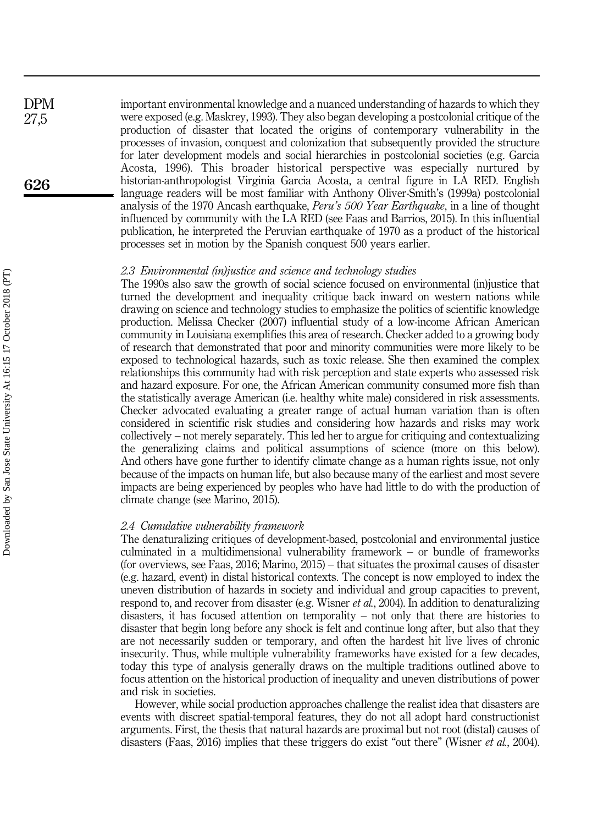important environmental knowledge and a nuanced understanding of hazards to which they were exposed (e.g. Maskrey, 1993). They also began developing a postcolonial critique of the production of disaster that located the origins of contemporary vulnerability in the processes of invasion, conquest and colonization that subsequently provided the structure for later development models and social hierarchies in postcolonial societies (e.g. Garcia Acosta, 1996). This broader historical perspective was especially nurtured by historian-anthropologist Virginia Garcia Acosta, a central figure in LA RED. English language readers will be most familiar with Anthony Oliver-Smith's (1999a) postcolonial analysis of the 1970 Ancash earthquake, *Peru's 500 Year Earthquake*, in a line of thought influenced by community with the LA RED (see Faas and Barrios, 2015). In this influential publication, he interpreted the Peruvian earthquake of 1970 as a product of the historical processes set in motion by the Spanish conquest 500 years earlier.

#### 2.3 Environmental (in)justice and science and technology studies

The 1990s also saw the growth of social science focused on environmental (in)justice that turned the development and inequality critique back inward on western nations while drawing on science and technology studies to emphasize the politics of scientific knowledge production. Melissa Checker (2007) influential study of a low-income African American community in Louisiana exemplifies this area of research. Checker added to a growing body of research that demonstrated that poor and minority communities were more likely to be exposed to technological hazards, such as toxic release. She then examined the complex relationships this community had with risk perception and state experts who assessed risk and hazard exposure. For one, the African American community consumed more fish than the statistically average American (i.e. healthy white male) considered in risk assessments. Checker advocated evaluating a greater range of actual human variation than is often considered in scientific risk studies and considering how hazards and risks may work collectively – not merely separately. This led her to argue for critiquing and contextualizing the generalizing claims and political assumptions of science (more on this below). And others have gone further to identify climate change as a human rights issue, not only because of the impacts on human life, but also because many of the earliest and most severe impacts are being experienced by peoples who have had little to do with the production of climate change (see Marino, 2015).

#### 2.4 Cumulative vulnerability framework

The denaturalizing critiques of development-based, postcolonial and environmental justice culminated in a multidimensional vulnerability framework – or bundle of frameworks (for overviews, see Faas, 2016; Marino, 2015) – that situates the proximal causes of disaster (e.g. hazard, event) in distal historical contexts. The concept is now employed to index the uneven distribution of hazards in society and individual and group capacities to prevent, respond to, and recover from disaster (e.g. Wisner *et al.*, 2004). In addition to denaturalizing disasters, it has focused attention on temporality – not only that there are histories to disaster that begin long before any shock is felt and continue long after, but also that they are not necessarily sudden or temporary, and often the hardest hit live lives of chronic insecurity. Thus, while multiple vulnerability frameworks have existed for a few decades, today this type of analysis generally draws on the multiple traditions outlined above to focus attention on the historical production of inequality and uneven distributions of power and risk in societies.

However, while social production approaches challenge the realist idea that disasters are events with discreet spatial-temporal features, they do not all adopt hard constructionist arguments. First, the thesis that natural hazards are proximal but not root (distal) causes of disasters (Faas, 2016) implies that these triggers do exist "out there" (Wisner *et al.*, 2004).

626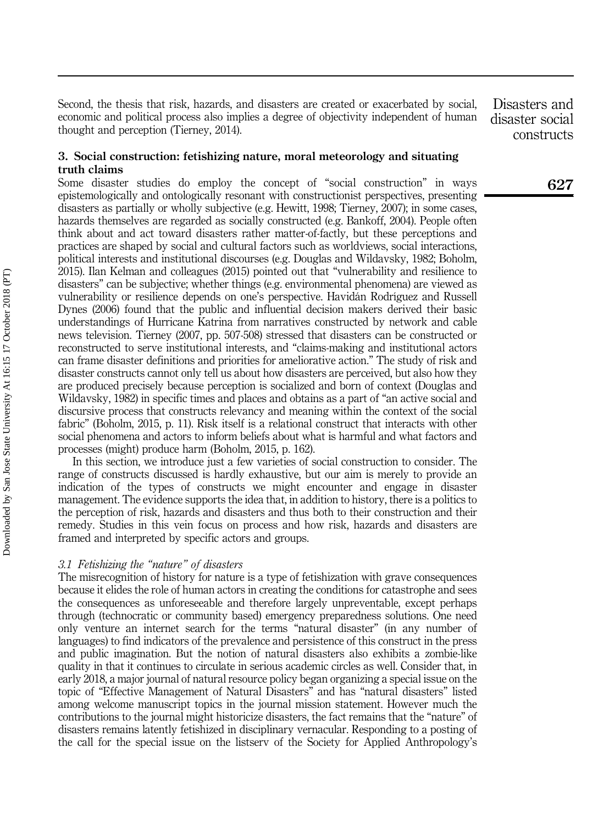Second, the thesis that risk, hazards, and disasters are created or exacerbated by social, economic and political process also implies a degree of objectivity independent of human thought and perception (Tierney, 2014).

3. Social construction: fetishizing nature, moral meteorology and situating truth claims

Some disaster studies do employ the concept of "social construction" in ways epistemologically and ontologically resonant with constructionist perspectives, presenting disasters as partially or wholly subjective (e.g. Hewitt, 1998; Tierney, 2007); in some cases, hazards themselves are regarded as socially constructed (e.g. Bankoff, 2004). People often think about and act toward disasters rather matter-of-factly, but these perceptions and practices are shaped by social and cultural factors such as worldviews, social interactions, political interests and institutional discourses (e.g. Douglas and Wildavsky, 1982; Boholm, 2015). Ilan Kelman and colleagues (2015) pointed out that "vulnerability and resilience to disasters" can be subjective; whether things (e.g. environmental phenomena) are viewed as vulnerability or resilience depends on one's perspective. Havidán Rodríguez and Russell Dynes (2006) found that the public and influential decision makers derived their basic understandings of Hurricane Katrina from narratives constructed by network and cable news television. Tierney (2007, pp. 507-508) stressed that disasters can be constructed or reconstructed to serve institutional interests, and "claims-making and institutional actors can frame disaster definitions and priorities for ameliorative action." The study of risk and disaster constructs cannot only tell us about how disasters are perceived, but also how they are produced precisely because perception is socialized and born of context (Douglas and Wildavsky, 1982) in specific times and places and obtains as a part of "an active social and discursive process that constructs relevancy and meaning within the context of the social fabric" (Boholm, 2015, p. 11). Risk itself is a relational construct that interacts with other social phenomena and actors to inform beliefs about what is harmful and what factors and processes (might) produce harm (Boholm, 2015, p. 162).

In this section, we introduce just a few varieties of social construction to consider. The range of constructs discussed is hardly exhaustive, but our aim is merely to provide an indication of the types of constructs we might encounter and engage in disaster management. The evidence supports the idea that, in addition to history, there is a politics to the perception of risk, hazards and disasters and thus both to their construction and their remedy. Studies in this vein focus on process and how risk, hazards and disasters are framed and interpreted by specific actors and groups.

#### 3.1 Fetishizing the "nature" of disasters

The misrecognition of history for nature is a type of fetishization with grave consequences because it elides the role of human actors in creating the conditions for catastrophe and sees the consequences as unforeseeable and therefore largely unpreventable, except perhaps through (technocratic or community based) emergency preparedness solutions. One need only venture an internet search for the terms "natural disaster" (in any number of languages) to find indicators of the prevalence and persistence of this construct in the press and public imagination. But the notion of natural disasters also exhibits a zombie-like quality in that it continues to circulate in serious academic circles as well. Consider that, in early 2018, a major journal of natural resource policy began organizing a special issue on the topic of "Effective Management of Natural Disasters" and has "natural disasters" listed among welcome manuscript topics in the journal mission statement. However much the contributions to the journal might historicize disasters, the fact remains that the "nature" of disasters remains latently fetishized in disciplinary vernacular. Responding to a posting of the call for the special issue on the listserv of the Society for Applied Anthropology's

Disasters and disaster social constructs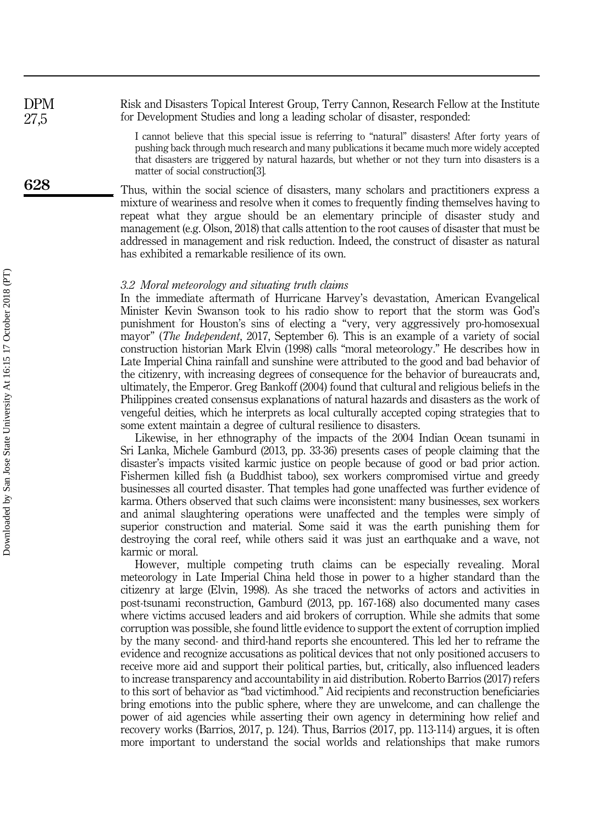Risk and Disasters Topical Interest Group, Terry Cannon, Research Fellow at the Institute for Development Studies and long a leading scholar of disaster, responded:

I cannot believe that this special issue is referring to "natural" disasters! After forty years of pushing back through much research and many publications it became much more widely accepted that disasters are triggered by natural hazards, but whether or not they turn into disasters is a matter of social construction[3].

Thus, within the social science of disasters, many scholars and practitioners express a mixture of weariness and resolve when it comes to frequently finding themselves having to repeat what they argue should be an elementary principle of disaster study and management (e.g. Olson, 2018) that calls attention to the root causes of disaster that must be addressed in management and risk reduction. Indeed, the construct of disaster as natural has exhibited a remarkable resilience of its own.

#### 3.2 Moral meteorology and situating truth claims

In the immediate aftermath of Hurricane Harvey's devastation, American Evangelical Minister Kevin Swanson took to his radio show to report that the storm was God's punishment for Houston's sins of electing a "very, very aggressively pro-homosexual mayor" (*The Independent*, 2017, September 6). This is an example of a variety of social construction historian Mark Elvin (1998) calls "moral meteorology." He describes how in Late Imperial China rainfall and sunshine were attributed to the good and bad behavior of the citizenry, with increasing degrees of consequence for the behavior of bureaucrats and, ultimately, the Emperor. Greg Bankoff (2004) found that cultural and religious beliefs in the Philippines created consensus explanations of natural hazards and disasters as the work of vengeful deities, which he interprets as local culturally accepted coping strategies that to some extent maintain a degree of cultural resilience to disasters.

Likewise, in her ethnography of the impacts of the 2004 Indian Ocean tsunami in Sri Lanka, Michele Gamburd (2013, pp. 33-36) presents cases of people claiming that the disaster's impacts visited karmic justice on people because of good or bad prior action. Fishermen killed fish (a Buddhist taboo), sex workers compromised virtue and greedy businesses all courted disaster. That temples had gone unaffected was further evidence of karma. Others observed that such claims were inconsistent: many businesses, sex workers and animal slaughtering operations were unaffected and the temples were simply of superior construction and material. Some said it was the earth punishing them for destroying the coral reef, while others said it was just an earthquake and a wave, not karmic or moral.

However, multiple competing truth claims can be especially revealing. Moral meteorology in Late Imperial China held those in power to a higher standard than the citizenry at large (Elvin, 1998). As she traced the networks of actors and activities in post-tsunami reconstruction, Gamburd (2013, pp. 167-168) also documented many cases where victims accused leaders and aid brokers of corruption. While she admits that some corruption was possible, she found little evidence to support the extent of corruption implied by the many second- and third-hand reports she encountered. This led her to reframe the evidence and recognize accusations as political devices that not only positioned accusers to receive more aid and support their political parties, but, critically, also influenced leaders to increase transparency and accountability in aid distribution. Roberto Barrios (2017) refers to this sort of behavior as "bad victimhood." Aid recipients and reconstruction beneficiaries bring emotions into the public sphere, where they are unwelcome, and can challenge the power of aid agencies while asserting their own agency in determining how relief and recovery works (Barrios, 2017, p. 124). Thus, Barrios (2017, pp. 113-114) argues, it is often more important to understand the social worlds and relationships that make rumors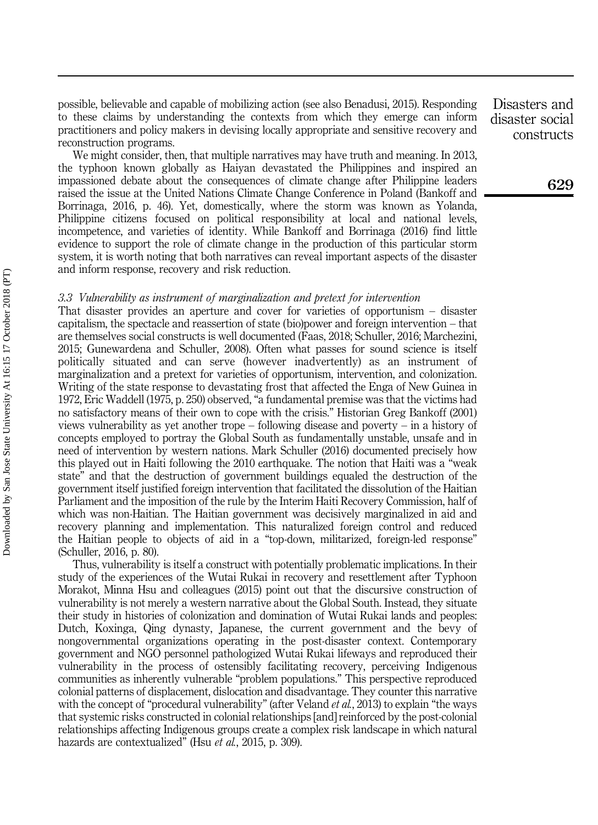possible, believable and capable of mobilizing action (see also Benadusi, 2015). Responding to these claims by understanding the contexts from which they emerge can inform practitioners and policy makers in devising locally appropriate and sensitive recovery and reconstruction programs.

We might consider, then, that multiple narratives may have truth and meaning. In 2013, the typhoon known globally as Haiyan devastated the Philippines and inspired an impassioned debate about the consequences of climate change after Philippine leaders raised the issue at the United Nations Climate Change Conference in Poland (Bankoff and Borrinaga, 2016, p. 46). Yet, domestically, where the storm was known as Yolanda, Philippine citizens focused on political responsibility at local and national levels, incompetence, and varieties of identity. While Bankoff and Borrinaga (2016) find little evidence to support the role of climate change in the production of this particular storm system, it is worth noting that both narratives can reveal important aspects of the disaster and inform response, recovery and risk reduction.

#### 3.3 Vulnerability as instrument of marginalization and pretext for intervention

That disaster provides an aperture and cover for varieties of opportunism – disaster capitalism, the spectacle and reassertion of state (bio)power and foreign intervention – that are themselves social constructs is well documented (Faas, 2018; Schuller, 2016; Marchezini, 2015; Gunewardena and Schuller, 2008). Often what passes for sound science is itself politically situated and can serve (however inadvertently) as an instrument of marginalization and a pretext for varieties of opportunism, intervention, and colonization. Writing of the state response to devastating frost that affected the Enga of New Guinea in 1972, Eric Waddell (1975, p. 250) observed, "a fundamental premise was that the victims had no satisfactory means of their own to cope with the crisis." Historian Greg Bankoff (2001) views vulnerability as yet another trope – following disease and poverty – in a history of concepts employed to portray the Global South as fundamentally unstable, unsafe and in need of intervention by western nations. Mark Schuller (2016) documented precisely how this played out in Haiti following the 2010 earthquake. The notion that Haiti was a "weak state" and that the destruction of government buildings equaled the destruction of the government itself justified foreign intervention that facilitated the dissolution of the Haitian Parliament and the imposition of the rule by the Interim Haiti Recovery Commission, half of which was non-Haitian. The Haitian government was decisively marginalized in aid and recovery planning and implementation. This naturalized foreign control and reduced the Haitian people to objects of aid in a "top-down, militarized, foreign-led response" (Schuller, 2016, p. 80).

Thus, vulnerability is itself a construct with potentially problematic implications. In their study of the experiences of the Wutai Rukai in recovery and resettlement after Typhoon Morakot, Minna Hsu and colleagues (2015) point out that the discursive construction of vulnerability is not merely a western narrative about the Global South. Instead, they situate their study in histories of colonization and domination of Wutai Rukai lands and peoples: Dutch, Koxinga, Qing dynasty, Japanese, the current government and the bevy of nongovernmental organizations operating in the post-disaster context. Contemporary government and NGO personnel pathologized Wutai Rukai lifeways and reproduced their vulnerability in the process of ostensibly facilitating recovery, perceiving Indigenous communities as inherently vulnerable "problem populations." This perspective reproduced colonial patterns of displacement, dislocation and disadvantage. They counter this narrative with the concept of "procedural vulnerability" (after Veland *et al.*, 2013) to explain "the ways that systemic risks constructed in colonial relationships [and] reinforced by the post-colonial relationships affecting Indigenous groups create a complex risk landscape in which natural hazards are contextualized" (Hsu et al., 2015, p. 309).

Disasters and disaster social constructs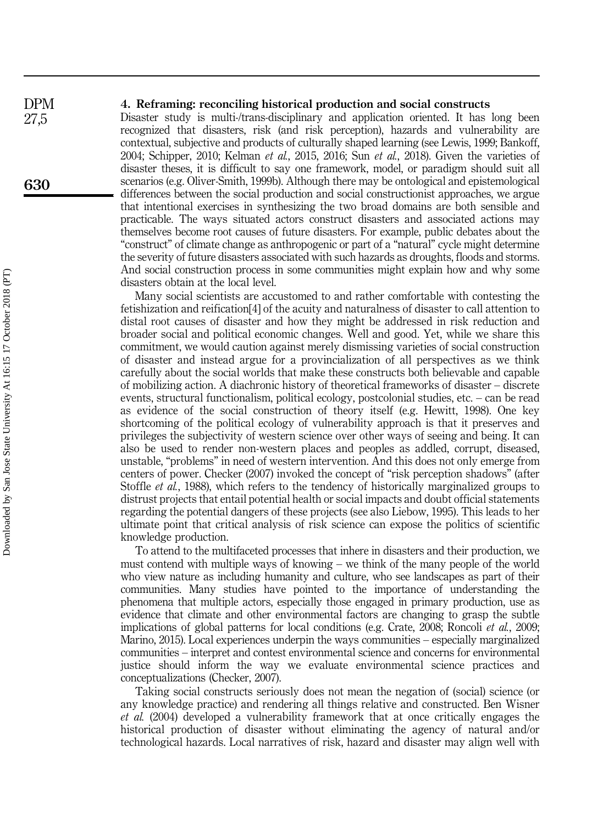#### 4. Reframing: reconciling historical production and social constructs

Disaster study is multi-/trans-disciplinary and application oriented. It has long been recognized that disasters, risk (and risk perception), hazards and vulnerability are contextual, subjective and products of culturally shaped learning (see Lewis, 1999; Bankoff, 2004; Schipper, 2010; Kelman et al., 2015, 2016; Sun et al., 2018). Given the varieties of disaster theses, it is difficult to say one framework, model, or paradigm should suit all scenarios (e.g. Oliver-Smith, 1999b). Although there may be ontological and epistemological differences between the social production and social constructionist approaches, we argue that intentional exercises in synthesizing the two broad domains are both sensible and practicable. The ways situated actors construct disasters and associated actions may themselves become root causes of future disasters. For example, public debates about the "construct" of climate change as anthropogenic or part of a "natural" cycle might determine the severity of future disasters associated with such hazards as droughts, floods and storms. And social construction process in some communities might explain how and why some disasters obtain at the local level.

Many social scientists are accustomed to and rather comfortable with contesting the fetishization and reification[4] of the acuity and naturalness of disaster to call attention to distal root causes of disaster and how they might be addressed in risk reduction and broader social and political economic changes. Well and good. Yet, while we share this commitment, we would caution against merely dismissing varieties of social construction of disaster and instead argue for a provincialization of all perspectives as we think carefully about the social worlds that make these constructs both believable and capable of mobilizing action. A diachronic history of theoretical frameworks of disaster – discrete events, structural functionalism, political ecology, postcolonial studies, etc. – can be read as evidence of the social construction of theory itself (e.g. Hewitt, 1998). One key shortcoming of the political ecology of vulnerability approach is that it preserves and privileges the subjectivity of western science over other ways of seeing and being. It can also be used to render non-western places and peoples as addled, corrupt, diseased, unstable, "problems" in need of western intervention. And this does not only emerge from centers of power. Checker (2007) invoked the concept of "risk perception shadows" (after Stoffle et al., 1988), which refers to the tendency of historically marginalized groups to distrust projects that entail potential health or social impacts and doubt official statements regarding the potential dangers of these projects (see also Liebow, 1995). This leads to her ultimate point that critical analysis of risk science can expose the politics of scientific knowledge production.

To attend to the multifaceted processes that inhere in disasters and their production, we must contend with multiple ways of knowing – we think of the many people of the world who view nature as including humanity and culture, who see landscapes as part of their communities. Many studies have pointed to the importance of understanding the phenomena that multiple actors, especially those engaged in primary production, use as evidence that climate and other environmental factors are changing to grasp the subtle implications of global patterns for local conditions (e.g. Crate, 2008; Roncoli *et al.*, 2009; Marino, 2015). Local experiences underpin the ways communities – especially marginalized communities – interpret and contest environmental science and concerns for environmental justice should inform the way we evaluate environmental science practices and conceptualizations (Checker, 2007).

Taking social constructs seriously does not mean the negation of (social) science (or any knowledge practice) and rendering all things relative and constructed. Ben Wisner et al. (2004) developed a vulnerability framework that at once critically engages the historical production of disaster without eliminating the agency of natural and/or technological hazards. Local narratives of risk, hazard and disaster may align well with

630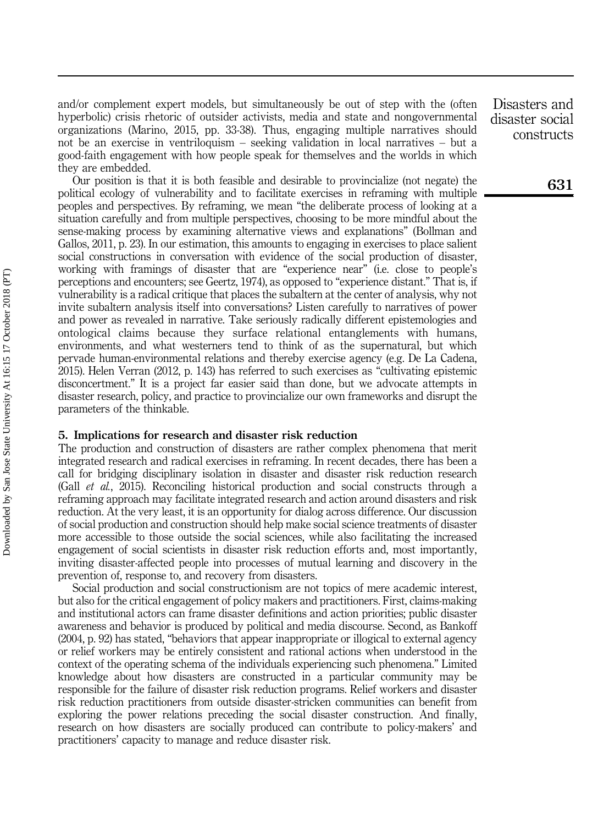and/or complement expert models, but simultaneously be out of step with the (often hyperbolic) crisis rhetoric of outsider activists, media and state and nongovernmental organizations (Marino, 2015, pp. 33-38). Thus, engaging multiple narratives should not be an exercise in ventriloquism – seeking validation in local narratives – but a good-faith engagement with how people speak for themselves and the worlds in which they are embedded.

Our position is that it is both feasible and desirable to provincialize (not negate) the political ecology of vulnerability and to facilitate exercises in reframing with multiple peoples and perspectives. By reframing, we mean "the deliberate process of looking at a situation carefully and from multiple perspectives, choosing to be more mindful about the sense-making process by examining alternative views and explanations" (Bollman and Gallos, 2011, p. 23). In our estimation, this amounts to engaging in exercises to place salient social constructions in conversation with evidence of the social production of disaster, working with framings of disaster that are "experience near" (i.e. close to people's perceptions and encounters; see Geertz, 1974), as opposed to "experience distant." That is, if vulnerability is a radical critique that places the subaltern at the center of analysis, why not invite subaltern analysis itself into conversations? Listen carefully to narratives of power and power as revealed in narrative. Take seriously radically different epistemologies and ontological claims because they surface relational entanglements with humans, environments, and what westerners tend to think of as the supernatural, but which pervade human-environmental relations and thereby exercise agency (e.g. De La Cadena, 2015). Helen Verran (2012, p. 143) has referred to such exercises as "cultivating epistemic disconcertment." It is a project far easier said than done, but we advocate attempts in disaster research, policy, and practice to provincialize our own frameworks and disrupt the parameters of the thinkable.

#### 5. Implications for research and disaster risk reduction

The production and construction of disasters are rather complex phenomena that merit integrated research and radical exercises in reframing. In recent decades, there has been a call for bridging disciplinary isolation in disaster and disaster risk reduction research (Gall et al., 2015). Reconciling historical production and social constructs through a reframing approach may facilitate integrated research and action around disasters and risk reduction. At the very least, it is an opportunity for dialog across difference. Our discussion of social production and construction should help make social science treatments of disaster more accessible to those outside the social sciences, while also facilitating the increased engagement of social scientists in disaster risk reduction efforts and, most importantly, inviting disaster-affected people into processes of mutual learning and discovery in the prevention of, response to, and recovery from disasters.

Social production and social constructionism are not topics of mere academic interest, but also for the critical engagement of policy makers and practitioners. First, claims-making and institutional actors can frame disaster definitions and action priorities; public disaster awareness and behavior is produced by political and media discourse. Second, as Bankoff (2004, p. 92) has stated, "behaviors that appear inappropriate or illogical to external agency or relief workers may be entirely consistent and rational actions when understood in the context of the operating schema of the individuals experiencing such phenomena." Limited knowledge about how disasters are constructed in a particular community may be responsible for the failure of disaster risk reduction programs. Relief workers and disaster risk reduction practitioners from outside disaster-stricken communities can benefit from exploring the power relations preceding the social disaster construction. And finally, research on how disasters are socially produced can contribute to policy-makers' and practitioners' capacity to manage and reduce disaster risk.

Disasters and disaster social constructs

631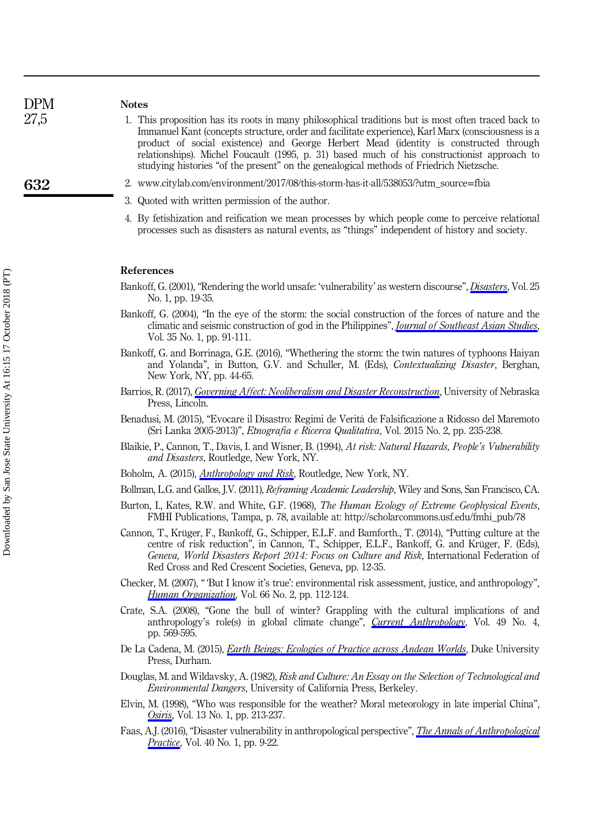#### Notes DPM

632

27,5

- 1. This proposition has its roots in many philosophical traditions but is most often traced back to Immanuel Kant (concepts structure, order and facilitate experience), Karl Marx (consciousness is a product of social existence) and George Herbert Mead (identity is constructed through relationships). Michel Foucault (1995, p. 31) based much of his constructionist approach to studying histories "of the present" on the genealogical methods of Friedrich Nietzsche.
- 2. [www.citylab.com/environment/2017/08/this-storm-has-it-all/538053/?utm\\_source](www.citylab.com/environment/2017/08/this-storm-has-it-all/538053/?utm_source=fbia)=fbia
- 3. Quoted with written permission of the author.
- 4. By fetishization and reification we mean processes by which people come to perceive relational processes such as disasters as natural events, as "things" independent of history and society.

#### **References**

- Bankoff, G. (2001), "Rendering the world unsafe: 'vulnerability' as western discourse", [Disasters](https://www.emeraldinsight.com/action/showLinks?doi=10.1108%2FDPM-05-2018-0135&crossref=10.1111%2F1467-7717.00159&isi=000167237000002&citationId=p_1), Vol. 25 No. 1, pp. 19-35.
- Bankoff, G. (2004), "In the eye of the storm: the social construction of the forces of nature and the climatic and seismic construction of god in the Philippines", *[Journal of Southeast Asian Studies](https://www.emeraldinsight.com/action/showLinks?doi=10.1108%2FDPM-05-2018-0135&crossref=10.1017%2FS0022463404000050&citationId=p_2)*, Vol. 35 No. 1, pp. 91-111.
- Bankoff, G. and Borrinaga, G.E. (2016), "Whethering the storm: the twin natures of typhoons Haiyan and Yolanda", in Button, G.V. and Schuller, M. (Eds), Contextualizing Disaster, Berghan, New York, NY, pp. 44-65.
- Barrios, R. (2017), [Governing Affect: Neoliberalism and Disaster Reconstruction](https://www.emeraldinsight.com/action/showLinks?doi=10.1108%2FDPM-05-2018-0135&crossref=10.2307%2Fj.ctt1mtz7p9&citationId=p_4), University of Nebraska Press, Lincoln.
- Benadusi, M. (2015), "Evocare il Disastro: Regimi de Veritá de Falsificazione a Ridosso del Maremoto (Sri Lanka 2005-2013)", Etnografia e Ricerca Qualitativa, Vol. 2015 No. 2, pp. 235-238.
- Blaikie, P., Cannon, T., Davis, I. and Wisner, B. (1994), At risk: Natural Hazards, People's Vulnerability and Disasters, Routledge, New York, NY.
- Boholm, A. (2015), *[Anthropology and Risk](https://www.emeraldinsight.com/action/showLinks?doi=10.1108%2FDPM-05-2018-0135&crossref=10.4324%2F9781315797793&citationId=p_7)*, Routledge, New York, NY.
- Bollman, L.G. and Gallos, J.V. (2011), Reframing Academic Leadership, Wiley and Sons, San Francisco, CA.
- Burton, I., Kates, R.W. and White, G.F. (1968), The Human Ecology of Extreme Geophysical Events, FMHI Publications, Tampa, p. 78, available at: [http://scholarcommons.usf.edu/fmhi\\_pub/78](http://scholarcommons.usf.edu/fmhi_pub/78)
- Cannon, T., Krüger, F., Bankoff, G., Schipper, E.L.F. and Bamforth., T. (2014), "Putting culture at the centre of risk reduction", in Cannon, T., Schipper, E.L.F., Bankoff, G. and Krüger, F. (Eds), Geneva, World Disasters Report 2014: Focus on Culture and Risk, International Federation of Red Cross and Red Crescent Societies, Geneva, pp. 12-35.
- Checker, M. (2007), " 'But I know it's true': environmental risk assessment, justice, and anthropology", [Human Organization](https://www.emeraldinsight.com/action/showLinks?doi=10.1108%2FDPM-05-2018-0135&crossref=10.17730%2Fhumo.66.2.1582262175731728&isi=000247264700003&citationId=p_11), Vol. 66 No. 2, pp. 112-124.
- Crate, S.A. (2008), "Gone the bull of winter? Grappling with the cultural implications of and anthropology's role(s) in global climate change", *[Current Anthropology](https://www.emeraldinsight.com/action/showLinks?doi=10.1108%2FDPM-05-2018-0135&isi=000259970800006&citationId=p_12)*, Vol. 49 No. 4, pp. 569-595.
- De La Cadena, M. (2015), *[Earth Beings: Ecologies of Practice across Andean Worlds](https://www.emeraldinsight.com/action/showLinks?doi=10.1108%2FDPM-05-2018-0135&crossref=10.1215%2F9780822375265&citationId=p_13)*, Duke University Press, Durham.
- Douglas, M. and Wildavsky, A. (1982), Risk and Culture: An Essay on the Selection of Technological and Environmental Dangers, University of California Press, Berkeley.
- Elvin, M. (1998), "Who was responsible for the weather? Moral meteorology in late imperial China", [Osiris](https://www.emeraldinsight.com/action/showLinks?doi=10.1108%2FDPM-05-2018-0135&crossref=10.1086%2F649286&citationId=p_15), Vol. 13 No. 1, pp. 213-237.
- Faas, A.J. (2016), "Disaster vulnerability in anthropological perspective", *[The Annals of Anthropological](https://www.emeraldinsight.com/action/showLinks?doi=10.1108%2FDPM-05-2018-0135&crossref=10.1111%2Fnapa.12084&isi=000389049300002&citationId=p_16) [Practice](https://www.emeraldinsight.com/action/showLinks?doi=10.1108%2FDPM-05-2018-0135&crossref=10.1111%2Fnapa.12084&isi=000389049300002&citationId=p_16)*, Vol. 40 No. 1, pp. 9-22.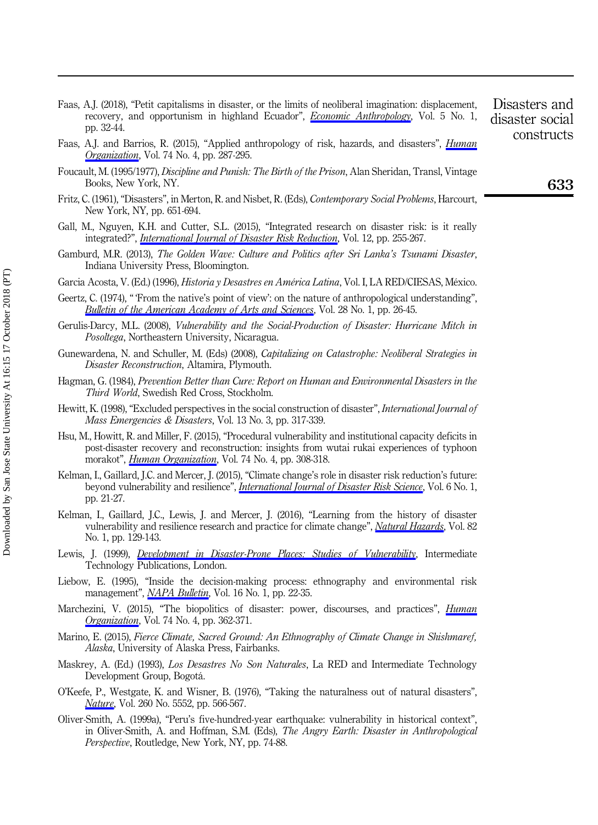- Faas, A.J. (2018), "Petit capitalisms in disaster, or the limits of neoliberal imagination: displacement, recovery, and opportunism in highland Ecuador", [Economic Anthropology](https://www.emeraldinsight.com/action/showLinks?doi=10.1108%2FDPM-05-2018-0135&crossref=10.1002%2Fsea2.12100&isi=000431135600004&citationId=p_17), Vol. 5 No. 1, pp. 32-44. Disasters and disaster social constructs
- Faas, A.J. and Barrios, R. (2015), "Applied anthropology of risk, hazards, and disasters", *[Human](https://www.emeraldinsight.com/action/showLinks?doi=10.1108%2FDPM-05-2018-0135&crossref=10.17730%2F0018-7259-74.4.287&isi=000367873800001&citationId=p_18)* [Organization](https://www.emeraldinsight.com/action/showLinks?doi=10.1108%2FDPM-05-2018-0135&crossref=10.17730%2F0018-7259-74.4.287&isi=000367873800001&citationId=p_18), Vol. 74 No. 4, pp. 287-295.
- Foucault, M. (1995/1977), Discipline and Punish: The Birth of the Prison, Alan Sheridan, Transl, Vintage Books, New York, NY.
- Fritz, C. (1961), "Disasters", in Merton, R. and Nisbet, R. (Eds), Contemporary Social Problems, Harcourt, New York, NY, pp. 651-694.
- Gall, M., Nguyen, K.H. and Cutter, S.L. (2015), "Integrated research on disaster risk: is it really integrated?", [International Journal of Disaster Risk Reduction](https://www.emeraldinsight.com/action/showLinks?doi=10.1108%2FDPM-05-2018-0135&crossref=10.1016%2Fj.ijdrr.2015.01.010&isi=000357735000023&citationId=p_21), Vol. 12, pp. 255-267.
- Gamburd, M.R. (2013), The Golden Wave: Culture and Politics after Sri Lanka's Tsunami Disaster, Indiana University Press, Bloomington.
- Garcia Acosta, V. (Ed.) (1996), Historia y Desastres en América Latina, Vol. I, LA RED/CIESAS, México.
- Geertz, C. (1974), " From the native's point of view': on the nature of anthropological understanding", [Bulletin of the American Academy of Arts and Sciences](https://www.emeraldinsight.com/action/showLinks?doi=10.1108%2FDPM-05-2018-0135&crossref=10.2307%2F3822971&citationId=p_24), Vol. 28 No. 1, pp. 26-45.
- Gerulis-Darcy, M.L. (2008), Vulnerability and the Social-Production of Disaster: Hurricane Mitch in Posoltega, Northeastern University, Nicaragua.
- Gunewardena, N. and Schuller, M. (Eds) (2008), Capitalizing on Catastrophe: Neoliberal Strategies in Disaster Reconstruction, Altamira, Plymouth.
- Hagman, G. (1984), Prevention Better than Cure: Report on Human and Environmental Disasters in the Third World, Swedish Red Cross, Stockholm.
- Hewitt, K. (1998), "Excluded perspectives in the social construction of disaster", International Journal of Mass Emergencies & Disasters, Vol. 13 No. 3, pp. 317-339.
- Hsu, M., Howitt, R. and Miller, F. (2015), "Procedural vulnerability and institutional capacity deficits in post-disaster recovery and reconstruction: insights from wutai rukai experiences of typhoon morakot", *[Human Organization](https://www.emeraldinsight.com/action/showLinks?doi=10.1108%2FDPM-05-2018-0135&crossref=10.17730%2F0018-7259-74.4.308&isi=000367873800003&citationId=p_29)*, Vol. 74 No. 4, pp. 308-318.
- Kelman, I., Gaillard, J.C. and Mercer, J. (2015), "Climate change's role in disaster risk reduction's future: beyond vulnerability and resilience", *[International Journal of Disaster Risk Science](https://www.emeraldinsight.com/action/showLinks?doi=10.1108%2FDPM-05-2018-0135&crossref=10.1007%2Fs13753-015-0038-5&isi=000353358600003&citationId=p_30)*, Vol. 6 No. 1, pp. 21-27.
- Kelman, I., Gaillard, J.C., Lewis, J. and Mercer, J. (2016), "Learning from the history of disaster vulnerability and resilience research and practice for climate change", [Natural Hazards](https://www.emeraldinsight.com/action/showLinks?doi=10.1108%2FDPM-05-2018-0135&crossref=10.1007%2Fs11069-016-2294-0&citationId=p_31), Vol. 82 No. 1, pp. 129-143.
- Lewis, J. (1999), *[Development in Disaster-Prone Places: Studies of Vulnerability](https://www.emeraldinsight.com/action/showLinks?doi=10.1108%2FDPM-05-2018-0135&crossref=10.3362%2F9781780442013&citationId=p_32)*, Intermediate Technology Publications, London.
- Liebow, E. (1995), "Inside the decision-making process: ethnography and environmental risk management", *[NAPA Bulletin](https://www.emeraldinsight.com/action/showLinks?doi=10.1108%2FDPM-05-2018-0135&crossref=10.1525%2Fnapa.1995.16.1.22&citationId=p_33)*, Vol. 16 No. 1, pp. 22-35.
- Marchezini, V. (2015), "The biopolitics of disaster: power, discourses, and practices", *[Human](https://www.emeraldinsight.com/action/showLinks?doi=10.1108%2FDPM-05-2018-0135&crossref=10.17730%2F0018-7259-74.4.362&isi=000367873800008&citationId=p_34)* [Organization](https://www.emeraldinsight.com/action/showLinks?doi=10.1108%2FDPM-05-2018-0135&crossref=10.17730%2F0018-7259-74.4.362&isi=000367873800008&citationId=p_34), Vol. 74 No. 4, pp. 362-371.
- Marino, E. (2015), Fierce Climate, Sacred Ground: An Ethnography of Climate Change in Shishmaref, Alaska, University of Alaska Press, Fairbanks.
- Maskrey, A. (Ed.) (1993), *Los Desastres No Son Naturales*, La RED and Intermediate Technology Development Group, Bogotá.
- O'Keefe, P., Westgate, K. and Wisner, B. (1976), "Taking the naturalness out of natural disasters", [Nature](https://www.emeraldinsight.com/action/showLinks?doi=10.1108%2FDPM-05-2018-0135&crossref=10.1038%2F260566a0&isi=A1976BM86700002&citationId=p_37), Vol. 260 No. 5552, pp. 566-567.
- Oliver-Smith, A. (1999a), "Peru's five-hundred-year earthquake: vulnerability in historical context", in Oliver-Smith, A. and Hoffman, S.M. (Eds), The Angry Earth: Disaster in Anthropological Perspective, Routledge, New York, NY, pp. 74-88.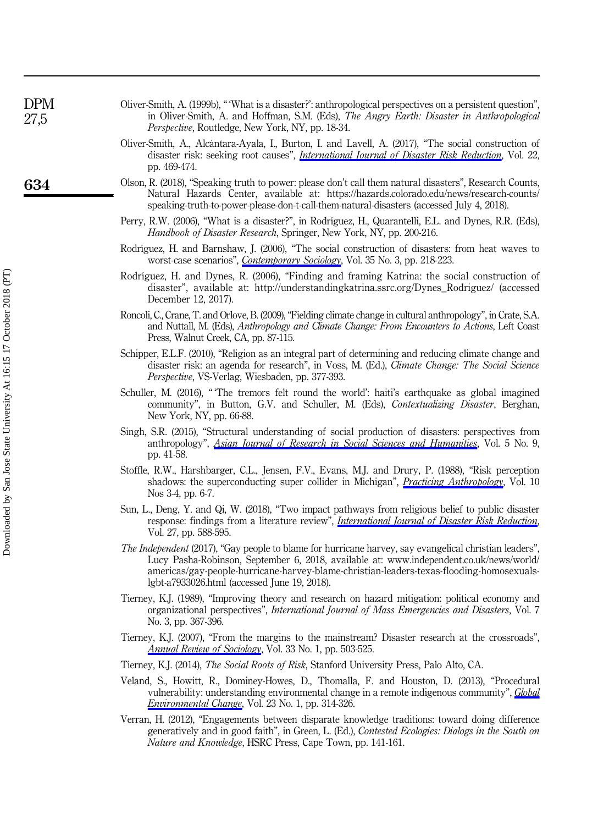| <b>DPM</b><br>27,5 | Oliver-Smith, A. (1999b), "What is a disaster?': anthropological perspectives on a persistent question",<br>in Oliver-Smith, A. and Hoffman, S.M. (Eds), The Angry Earth: Disaster in Anthropological<br>Perspective, Routledge, New York, NY, pp. 18-34.                                                                                     |
|--------------------|-----------------------------------------------------------------------------------------------------------------------------------------------------------------------------------------------------------------------------------------------------------------------------------------------------------------------------------------------|
|                    | Oliver-Smith, A., Alcántara-Ayala, I., Burton, I. and Lavell, A. (2017), "The social construction of<br>disaster risk: seeking root causes", <i>International Journal of Disaster Risk Reduction</i> , Vol. 22,<br>pp. 469-474.                                                                                                               |
| 634                | Olson, R. (2018), "Speaking truth to power: please don't call them natural disasters", Research Counts,<br>Natural Hazards Center, available at: https://hazards.colorado.edu/news/research-counts/<br>speaking-truth-to-power-please-don-t-call-them-natural-disasters (accessed July 4, 2018).                                              |
|                    | Perry, R.W. (2006), "What is a disaster?", in Rodríguez, H., Quarantelli, E.L. and Dynes, R.R. (Eds),<br><i>Handbook of Disaster Research, Springer, New York, NY, pp. 200-216.</i>                                                                                                                                                           |
|                    | Rodríguez, H. and Barnshaw, J. (2006), "The social construction of disasters: from heat waves to<br>worst-case scenarios", Contemporary Sociology, Vol. 35 No. 3, pp. 218-223.                                                                                                                                                                |
|                    | Rodríguez, H. and Dynes, R. (2006), "Finding and framing Katrina: the social construction of<br>disaster", available at: http://understandingkatrina.ssrc.org/Dynes_Rodriguez/ (accessed<br>December 12, 2017).                                                                                                                               |
|                    | Roncoli, C., Crane, T. and Orlove, B. (2009), "Fielding climate change in cultural anthropology", in Crate, S.A.<br>and Nuttall, M. (Eds), Anthropology and Climate Change: From Encounters to Actions, Left Coast<br>Press, Walnut Creek, CA, pp. 87-115.                                                                                    |
|                    | Schipper, E.L.F. (2010), "Religion as an integral part of determining and reducing climate change and<br>disaster risk: an agenda for research", in Voss, M. (Ed.), <i>Climate Change: The Social Science</i><br><i>Perspective</i> , VS-Verlag, Wiesbaden, pp. 377-393.                                                                      |
|                    | Schuller, M. (2016), "The tremors felt round the world': haiti's earthquake as global imagined<br>community", in Button, G.V. and Schuller, M. (Eds), Contextualizing Disaster, Berghan,<br>New York, NY, pp. 66-88.                                                                                                                          |
|                    | Singh, S.R. (2015), "Structural understanding of social production of disasters: perspectives from<br>anthropology", Asian Journal of Research in Social Sciences and Humanities, Vol. 5 No. 9,<br>pp. 41-58.                                                                                                                                 |
|                    | Stoffle, R.W., Harshbarger, C.L., Jensen, F.V., Evans, M.J. and Drury, P. (1988), "Risk perception<br>shadows: the superconducting super collider in Michigan", <i>Practicing Anthropology</i> , Vol. 10<br>Nos 3-4, pp. 6-7.                                                                                                                 |
|                    | Sun, L., Deng, Y. and Qi, W. (2018), "Two impact pathways from religious belief to public disaster<br>response: findings from a literature review", <i>International Journal of Disaster Risk Reduction</i> ,<br>Vol. 27, pp. 588-595.                                                                                                        |
|                    | The Independent (2017), "Gay people to blame for hurricane harvey, say evangelical christian leaders",<br>Lucy Pasha-Robinson, September 6, 2018, available at: www.independent.co.uk/news/world/<br>americas/gay-people-hurricane-harvey-blame-christian-leaders-texas-flooding-homosexuals-<br>lgbt-a7933026.html (accessed June 19, 2018). |
|                    | Tierney, K.J. (1989), "Improving theory and research on hazard mitigation: political economy and<br>organizational perspectives", International Journal of Mass Emergencies and Disasters, Vol. 7<br>No. 3, pp. 367-396.                                                                                                                      |
|                    | Tierney, K.J. (2007), "From the margins to the mainstream? Disaster research at the crossroads",<br><b>Annual Review of Sociology, Vol. 33 No. 1, pp. 503-525.</b>                                                                                                                                                                            |

Downloaded by San Jose State University At 16:15 17 October 2018 (PT) Downloaded by San Jose State University At 16:15 17 October 2018 (PT)

Tierney, K.J. (2014), The Social Roots of Risk, Stanford University Press, Palo Alto, CA.

- Veland, S., Howitt, R., Dominey-Howes, D., Thomalla, F. and Houston, D. (2013), "Procedural vulnerability: understanding environmental change in a remote indigenous community", [Global](https://www.emeraldinsight.com/action/showLinks?doi=10.1108%2FDPM-05-2018-0135&crossref=10.1016%2Fj.gloenvcha.2012.10.009&isi=000315617200028&citationId=p_55) [Environmental Change](https://www.emeraldinsight.com/action/showLinks?doi=10.1108%2FDPM-05-2018-0135&crossref=10.1016%2Fj.gloenvcha.2012.10.009&isi=000315617200028&citationId=p_55), Vol. 23 No. 1, pp. 314-326.
- Verran, H. (2012), "Engagements between disparate knowledge traditions: toward doing difference generatively and in good faith", in Green, L. (Ed.), Contested Ecologies: Dialogs in the South on Nature and Knowledge, HSRC Press, Cape Town, pp. 141-161.